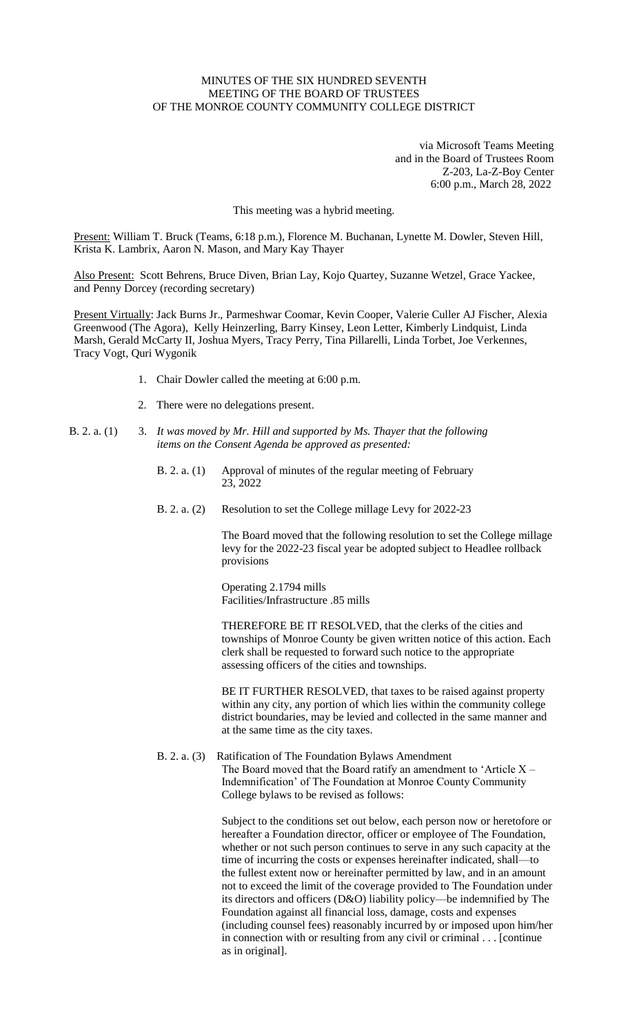## MINUTES OF THE SIX HUNDRED SEVENTH MEETING OF THE BOARD OF TRUSTEES OF THE MONROE COUNTY COMMUNITY COLLEGE DISTRICT

via Microsoft Teams Meeting and in the Board of Trustees Room Z-203, La-Z-Boy Center 6:00 p.m., March 28, 2022

This meeting was a hybrid meeting.

Present: William T. Bruck (Teams, 6:18 p.m.), Florence M. Buchanan, Lynette M. Dowler, Steven Hill, Krista K. Lambrix, Aaron N. Mason, and Mary Kay Thayer

Also Present: Scott Behrens, Bruce Diven, Brian Lay, Kojo Quartey, Suzanne Wetzel, Grace Yackee, and Penny Dorcey (recording secretary)

Present Virtually: Jack Burns Jr., Parmeshwar Coomar, Kevin Cooper, Valerie Culler AJ Fischer, Alexia Greenwood (The Agora), Kelly Heinzerling, Barry Kinsey, Leon Letter, Kimberly Lindquist, Linda Marsh, Gerald McCarty II, Joshua Myers, Tracy Perry, Tina Pillarelli, Linda Torbet, Joe Verkennes, Tracy Vogt, Quri Wygonik

- 1. Chair Dowler called the meeting at 6:00 p.m.
- 2. There were no delegations present.
- B. 2. a. (1) 3. *It was moved by Mr. Hill and supported by Ms. Thayer that the following items on the Consent Agenda be approved as presented:*
	- B. 2. a. (1) Approval of minutes of the regular meeting of February 23, 2022
	- B. 2. a. (2) Resolution to set the College millage Levy for 2022-23

The Board moved that the following resolution to set the College millage levy for the 2022-23 fiscal year be adopted subject to Headlee rollback provisions

Operating 2.1794 mills Facilities/Infrastructure .85 mills

THEREFORE BE IT RESOLVED, that the clerks of the cities and townships of Monroe County be given written notice of this action. Each clerk shall be requested to forward such notice to the appropriate assessing officers of the cities and townships.

BE IT FURTHER RESOLVED, that taxes to be raised against property within any city, any portion of which lies within the community college district boundaries, may be levied and collected in the same manner and at the same time as the city taxes.

B. 2. a. (3) Ratification of The Foundation Bylaws Amendment The Board moved that the Board ratify an amendment to 'Article  $X -$ Indemnification' of The Foundation at Monroe County Community College bylaws to be revised as follows:

> Subject to the conditions set out below, each person now or heretofore or hereafter a Foundation director, officer or employee of The Foundation, whether or not such person continues to serve in any such capacity at the time of incurring the costs or expenses hereinafter indicated, shall—to the fullest extent now or hereinafter permitted by law, and in an amount not to exceed the limit of the coverage provided to The Foundation under its directors and officers (D&O) liability policy—be indemnified by The Foundation against all financial loss, damage, costs and expenses (including counsel fees) reasonably incurred by or imposed upon him/her in connection with or resulting from any civil or criminal . . . [continue as in original].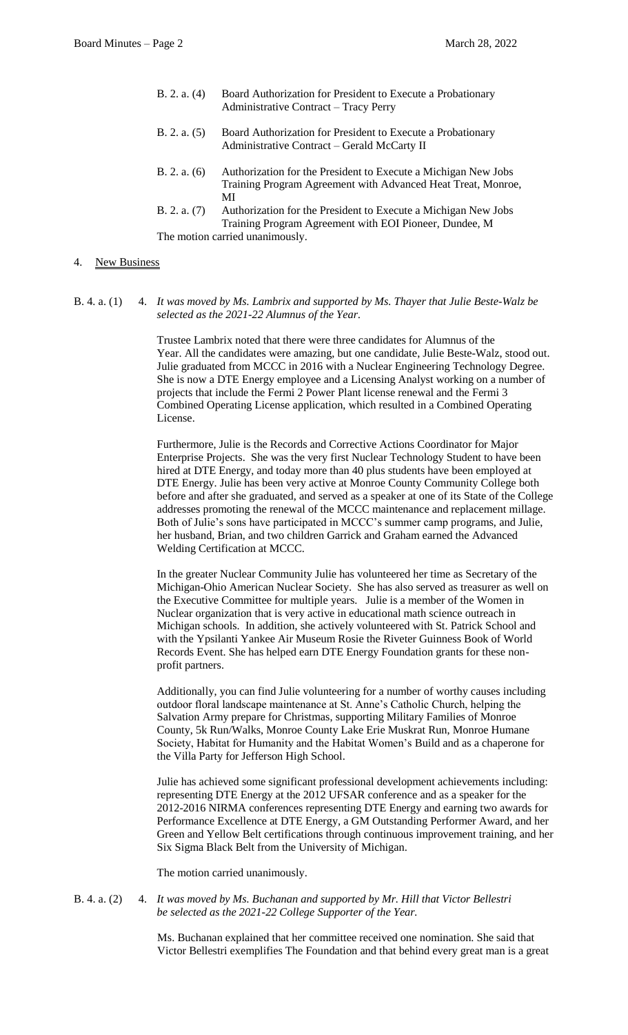- B. 2. a. (4) Board Authorization for President to Execute a Probationary Administrative Contract – Tracy Perry B. 2. a. (5) Board Authorization for President to Execute a Probationary Administrative Contract – Gerald McCarty II
- B. 2. a. (6) Authorization for the President to Execute a Michigan New Jobs Training Program Agreement with Advanced Heat Treat, Monroe, MI
- B. 2. a. (7) Authorization for the President to Execute a Michigan New Jobs Training Program Agreement with EOI Pioneer, Dundee, M The motion carried unanimously.

## 4. New Business

B. 4. a. (1) 4. *It was moved by Ms. Lambrix and supported by Ms. Thayer that Julie Beste-Walz be selected as the 2021-22 Alumnus of the Year.*

> Trustee Lambrix noted that there were three candidates for Alumnus of the Year. All the candidates were amazing, but one candidate, Julie Beste-Walz, stood out. Julie graduated from MCCC in 2016 with a Nuclear Engineering Technology Degree. She is now a DTE Energy employee and a Licensing Analyst working on a number of projects that include the Fermi 2 Power Plant license renewal and the Fermi 3 Combined Operating License application, which resulted in a Combined Operating License.

> Furthermore, Julie is the Records and Corrective Actions Coordinator for Major Enterprise Projects. She was the very first Nuclear Technology Student to have been hired at DTE Energy, and today more than 40 plus students have been employed at DTE Energy. Julie has been very active at Monroe County Community College both before and after she graduated, and served as a speaker at one of its State of the College addresses promoting the renewal of the MCCC maintenance and replacement millage. Both of Julie's sons have participated in MCCC's summer camp programs, and Julie, her husband, Brian, and two children Garrick and Graham earned the Advanced Welding Certification at MCCC.

> In the greater Nuclear Community Julie has volunteered her time as Secretary of the Michigan-Ohio American Nuclear Society. She has also served as treasurer as well on the Executive Committee for multiple years. Julie is a member of the Women in Nuclear organization that is very active in educational math science outreach in Michigan schools. In addition, she actively volunteered with St. Patrick School and with the Ypsilanti Yankee Air Museum Rosie the Riveter Guinness Book of World Records Event. She has helped earn DTE Energy Foundation grants for these nonprofit partners.

> Additionally, you can find Julie volunteering for a number of worthy causes including outdoor floral landscape maintenance at St. Anne's Catholic Church, helping the Salvation Army prepare for Christmas, supporting Military Families of Monroe County, 5k Run/Walks, Monroe County Lake Erie Muskrat Run, Monroe Humane Society, Habitat for Humanity and the Habitat Women's Build and as a chaperone for the Villa Party for Jefferson High School.

Julie has achieved some significant professional development achievements including: representing DTE Energy at the 2012 UFSAR conference and as a speaker for the 2012-2016 NIRMA conferences representing DTE Energy and earning two awards for Performance Excellence at DTE Energy, a GM Outstanding Performer Award, and her Green and Yellow Belt certifications through continuous improvement training, and her Six Sigma Black Belt from the University of Michigan.

The motion carried unanimously.

## B. 4. a. (2) 4. *It was moved by Ms. Buchanan and supported by Mr. Hill that Victor Bellestri be selected as the 2021-22 College Supporter of the Year.*

Ms. Buchanan explained that her committee received one nomination. She said that Victor Bellestri exemplifies The Foundation and that behind every great man is a great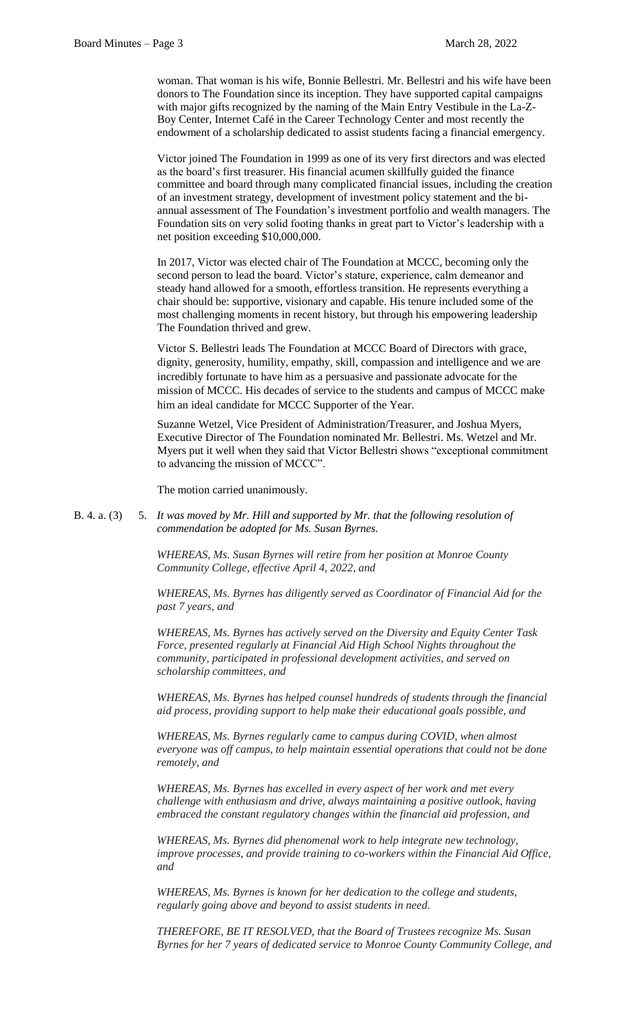woman. That woman is his wife, Bonnie Bellestri. Mr. Bellestri and his wife have been donors to The Foundation since its inception. They have supported capital campaigns with major gifts recognized by the naming of the Main Entry Vestibule in the La-Z-Boy Center, Internet Café in the Career Technology Center and most recently the endowment of a scholarship dedicated to assist students facing a financial emergency.

Victor joined The Foundation in 1999 as one of its very first directors and was elected as the board's first treasurer. His financial acumen skillfully guided the finance committee and board through many complicated financial issues, including the creation of an investment strategy, development of investment policy statement and the biannual assessment of The Foundation's investment portfolio and wealth managers. The Foundation sits on very solid footing thanks in great part to Victor's leadership with a net position exceeding \$10,000,000.

In 2017, Victor was elected chair of The Foundation at MCCC, becoming only the second person to lead the board. Victor's stature, experience, calm demeanor and steady hand allowed for a smooth, effortless transition. He represents everything a chair should be: supportive, visionary and capable. His tenure included some of the most challenging moments in recent history, but through his empowering leadership The Foundation thrived and grew.

Victor S. Bellestri leads The Foundation at MCCC Board of Directors with grace, dignity, generosity, humility, empathy, skill, compassion and intelligence and we are incredibly fortunate to have him as a persuasive and passionate advocate for the mission of MCCC. His decades of service to the students and campus of MCCC make him an ideal candidate for MCCC Supporter of the Year.

Suzanne Wetzel, Vice President of Administration/Treasurer, and Joshua Myers, Executive Director of The Foundation nominated Mr. Bellestri. Ms. Wetzel and Mr. Myers put it well when they said that Victor Bellestri shows "exceptional commitment to advancing the mission of MCCC".

The motion carried unanimously.

B. 4. a. (3) 5. *It was moved by Mr. Hill and supported by Mr. that the following resolution of commendation be adopted for Ms. Susan Byrnes.*

> *WHEREAS, Ms. Susan Byrnes will retire from her position at Monroe County Community College, effective April 4, 2022, and*

*WHEREAS, Ms. Byrnes has diligently served as Coordinator of Financial Aid for the past 7 years, and*

*WHEREAS, Ms. Byrnes has actively served on the Diversity and Equity Center Task Force, presented regularly at Financial Aid High School Nights throughout the community, participated in professional development activities, and served on scholarship committees, and* 

*WHEREAS, Ms. Byrnes has helped counsel hundreds of students through the financial aid process, providing support to help make their educational goals possible, and* 

*WHEREAS, Ms. Byrnes regularly came to campus during COVID, when almost everyone was off campus, to help maintain essential operations that could not be done remotely, and*

*WHEREAS, Ms. Byrnes has excelled in every aspect of her work and met every challenge with enthusiasm and drive, always maintaining a positive outlook, having embraced the constant regulatory changes within the financial aid profession, and*

*WHEREAS, Ms. Byrnes did phenomenal work to help integrate new technology, improve processes, and provide training to co-workers within the Financial Aid Office, and*

*WHEREAS, Ms. Byrnes is known for her dedication to the college and students, regularly going above and beyond to assist students in need.*

*THEREFORE, BE IT RESOLVED, that the Board of Trustees recognize Ms. Susan Byrnes for her 7 years of dedicated service to Monroe County Community College, and*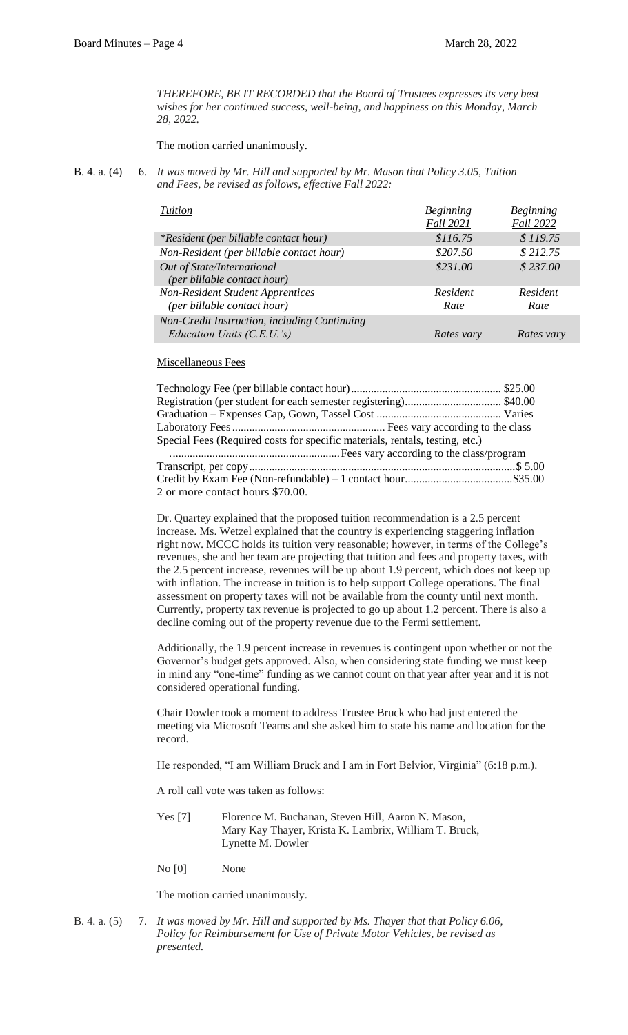*THEREFORE, BE IT RECORDED that the Board of Trustees expresses its very best wishes for her continued success, well-being, and happiness on this Monday, March 28, 2022.*

The motion carried unanimously.

B. 4. a. (4) 6. *It was moved by Mr. Hill and supported by Mr. Mason that Policy 3.05, Tuition and Fees, be revised as follows, effective Fall 2022:*

| Tuition                                                                      | <b>Beginning</b><br><b>Fall 2021</b> | <b>Beginning</b><br><b>Fall 2022</b> |
|------------------------------------------------------------------------------|--------------------------------------|--------------------------------------|
| <i>*Resident (per billable contact hour)</i>                                 | \$116.75                             | \$119.75                             |
| Non-Resident (per billable contact hour)                                     | \$207.50                             | \$212.75                             |
| Out of State/International<br>(per billable contact hour)                    | \$231.00                             | \$237.00                             |
| <b>Non-Resident Student Apprentices</b><br>(per billable contact hour)       | Resident<br>Rate                     | Resident<br>Rate                     |
| Non-Credit Instruction, including Continuing<br>Education Units $(C.E.U.'s)$ | Rates vary                           | Rates vary                           |

## Miscellaneous Fees

| Special Fees (Required costs for specific materials, rentals, testing, etc.) |  |  |
|------------------------------------------------------------------------------|--|--|
|                                                                              |  |  |
|                                                                              |  |  |
|                                                                              |  |  |
| 2 or more contact hours \$70.00.                                             |  |  |

Dr. Quartey explained that the proposed tuition recommendation is a 2.5 percent increase. Ms. Wetzel explained that the country is experiencing staggering inflation right now. MCCC holds its tuition very reasonable; however, in terms of the College's revenues, she and her team are projecting that tuition and fees and property taxes, with the 2.5 percent increase, revenues will be up about 1.9 percent, which does not keep up with inflation. The increase in tuition is to help support College operations. The final assessment on property taxes will not be available from the county until next month. Currently, property tax revenue is projected to go up about 1.2 percent. There is also a decline coming out of the property revenue due to the Fermi settlement.

Additionally, the 1.9 percent increase in revenues is contingent upon whether or not the Governor's budget gets approved. Also, when considering state funding we must keep in mind any "one-time" funding as we cannot count on that year after year and it is not considered operational funding.

Chair Dowler took a moment to address Trustee Bruck who had just entered the meeting via Microsoft Teams and she asked him to state his name and location for the record.

He responded, "I am William Bruck and I am in Fort Belvior, Virginia" (6:18 p.m.).

A roll call vote was taken as follows:

Yes [7] Florence M. Buchanan, Steven Hill, Aaron N. Mason, Mary Kay Thayer, Krista K. Lambrix, William T. Bruck, Lynette M. Dowler

No [0] None

The motion carried unanimously.

B. 4. a. (5) 7. *It was moved by Mr. Hill and supported by Ms. Thayer that that Policy 6.06, Policy for Reimbursement for Use of Private Motor Vehicles, be revised as presented.*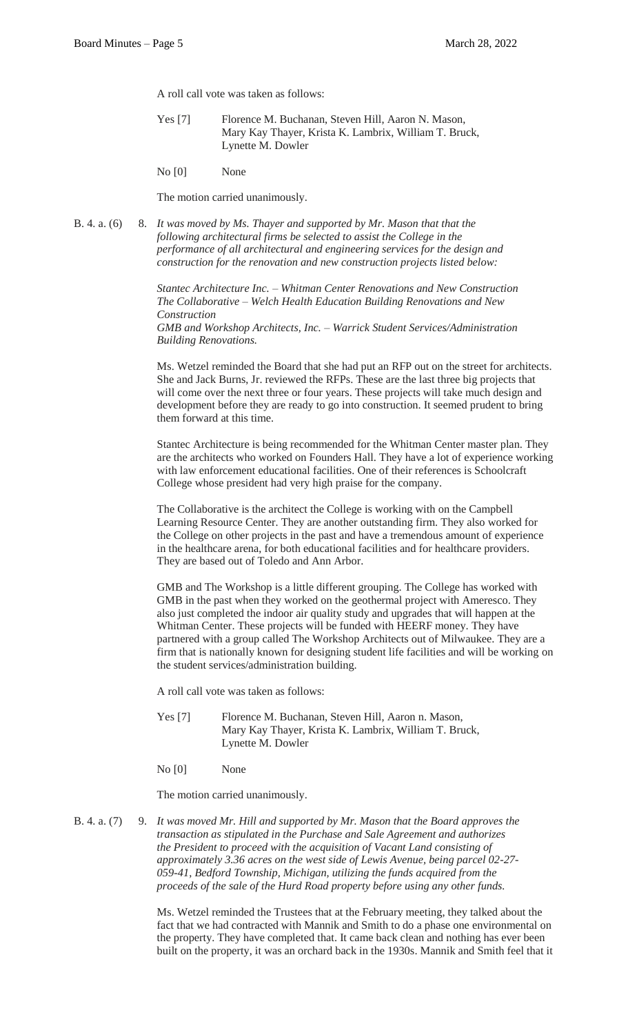A roll call vote was taken as follows:

- Yes [7] Florence M. Buchanan, Steven Hill, Aaron N. Mason, Mary Kay Thayer, Krista K. Lambrix, William T. Bruck, Lynette M. Dowler
- No [0] None

The motion carried unanimously.

B. 4. a. (6) 8. *It was moved by Ms. Thayer and supported by Mr. Mason that that the following architectural firms be selected to assist the College in the performance of all architectural and engineering services for the design and construction for the renovation and new construction projects listed below:*

> *Stantec Architecture Inc. – Whitman Center Renovations and New Construction The Collaborative – Welch Health Education Building Renovations and New Construction GMB and Workshop Architects, Inc. – Warrick Student Services/Administration*

> *Building Renovations.*

Ms. Wetzel reminded the Board that she had put an RFP out on the street for architects. She and Jack Burns, Jr. reviewed the RFPs. These are the last three big projects that will come over the next three or four years. These projects will take much design and development before they are ready to go into construction. It seemed prudent to bring them forward at this time.

Stantec Architecture is being recommended for the Whitman Center master plan. They are the architects who worked on Founders Hall. They have a lot of experience working with law enforcement educational facilities. One of their references is Schoolcraft College whose president had very high praise for the company.

The Collaborative is the architect the College is working with on the Campbell Learning Resource Center. They are another outstanding firm. They also worked for the College on other projects in the past and have a tremendous amount of experience in the healthcare arena, for both educational facilities and for healthcare providers. They are based out of Toledo and Ann Arbor.

GMB and The Workshop is a little different grouping. The College has worked with GMB in the past when they worked on the geothermal project with Ameresco. They also just completed the indoor air quality study and upgrades that will happen at the Whitman Center. These projects will be funded with HEERF money. They have partnered with a group called The Workshop Architects out of Milwaukee. They are a firm that is nationally known for designing student life facilities and will be working on the student services/administration building.

A roll call vote was taken as follows:

- Yes [7] Florence M. Buchanan, Steven Hill, Aaron n. Mason, Mary Kay Thayer, Krista K. Lambrix, William T. Bruck, Lynette M. Dowler
- No [0] None

The motion carried unanimously.

B. 4. a. (7) 9. *It was moved Mr. Hill and supported by Mr. Mason that the Board approves the transaction as stipulated in the Purchase and Sale Agreement and authorizes the President to proceed with the acquisition of Vacant Land consisting of approximately 3.36 acres on the west side of Lewis Avenue, being parcel 02-27- 059-41, Bedford Township, Michigan, utilizing the funds acquired from the proceeds of the sale of the Hurd Road property before using any other funds.*

> Ms. Wetzel reminded the Trustees that at the February meeting, they talked about the fact that we had contracted with Mannik and Smith to do a phase one environmental on the property. They have completed that. It came back clean and nothing has ever been built on the property, it was an orchard back in the 1930s. Mannik and Smith feel that it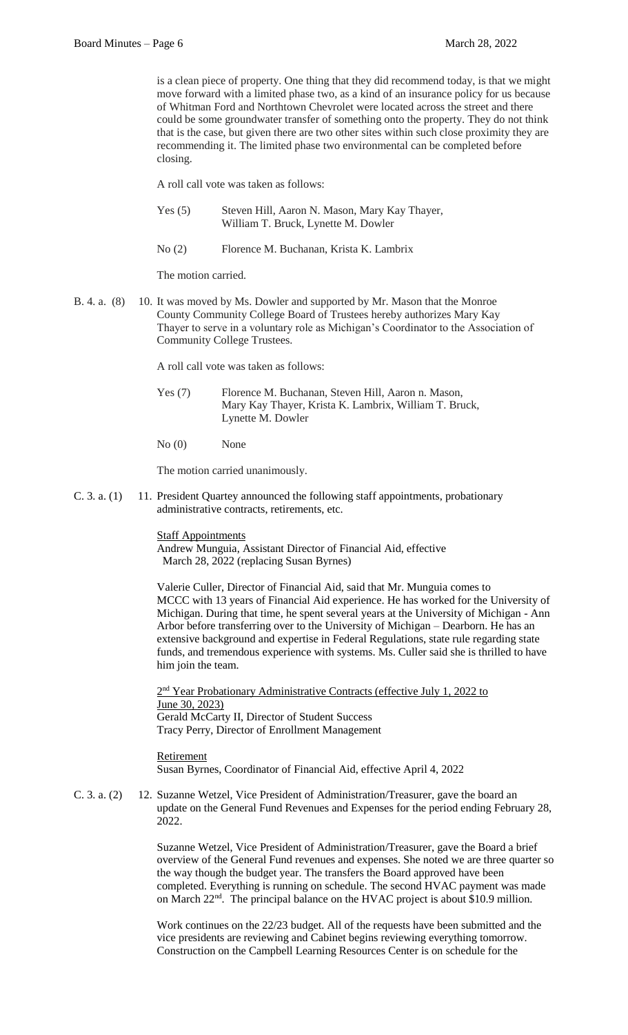is a clean piece of property. One thing that they did recommend today, is that we might move forward with a limited phase two, as a kind of an insurance policy for us because of Whitman Ford and Northtown Chevrolet were located across the street and there could be some groundwater transfer of something onto the property. They do not think that is the case, but given there are two other sites within such close proximity they are recommending it. The limited phase two environmental can be completed before closing.

A roll call vote was taken as follows:

- Yes (5) Steven Hill, Aaron N. Mason, Mary Kay Thayer, William T. Bruck, Lynette M. Dowler
- No (2) Florence M. Buchanan, Krista K. Lambrix

The motion carried.

B. 4. a. (8) 10. It was moved by Ms. Dowler and supported by Mr. Mason that the Monroe County Community College Board of Trustees hereby authorizes Mary Kay Thayer to serve in a voluntary role as Michigan's Coordinator to the Association of Community College Trustees.

A roll call vote was taken as follows:

- Yes (7) Florence M. Buchanan, Steven Hill, Aaron n. Mason, Mary Kay Thayer, Krista K. Lambrix, William T. Bruck, Lynette M. Dowler
- No (0) None

The motion carried unanimously.

C. 3. a. (1) 11. President Quartey announced the following staff appointments, probationary administrative contracts, retirements, etc.

**Staff Appointments** 

Andrew Munguia, Assistant Director of Financial Aid, effective March 28, 2022 (replacing Susan Byrnes)

Valerie Culler, Director of Financial Aid, said that Mr. Munguia comes to MCCC with 13 years of Financial Aid experience. He has worked for the University of Michigan. During that time, he spent several years at the University of Michigan - Ann Arbor before transferring over to the University of Michigan – Dearborn. He has an extensive background and expertise in Federal Regulations, state rule regarding state funds, and tremendous experience with systems. Ms. Culler said she is thrilled to have him join the team.

2<sup>nd</sup> Year Probationary Administrative Contracts (effective July 1, 2022 to June 30, 2023) Gerald McCarty II, Director of Student Success Tracy Perry, Director of Enrollment Management

Retirement Susan Byrnes, Coordinator of Financial Aid, effective April 4, 2022

C. 3. a. (2) 12. Suzanne Wetzel, Vice President of Administration/Treasurer, gave the board an update on the General Fund Revenues and Expenses for the period ending February 28, 2022.

> Suzanne Wetzel, Vice President of Administration/Treasurer, gave the Board a brief overview of the General Fund revenues and expenses. She noted we are three quarter so the way though the budget year. The transfers the Board approved have been completed. Everything is running on schedule. The second HVAC payment was made on March 22nd. The principal balance on the HVAC project is about \$10.9 million.

Work continues on the 22/23 budget. All of the requests have been submitted and the vice presidents are reviewing and Cabinet begins reviewing everything tomorrow. Construction on the Campbell Learning Resources Center is on schedule for the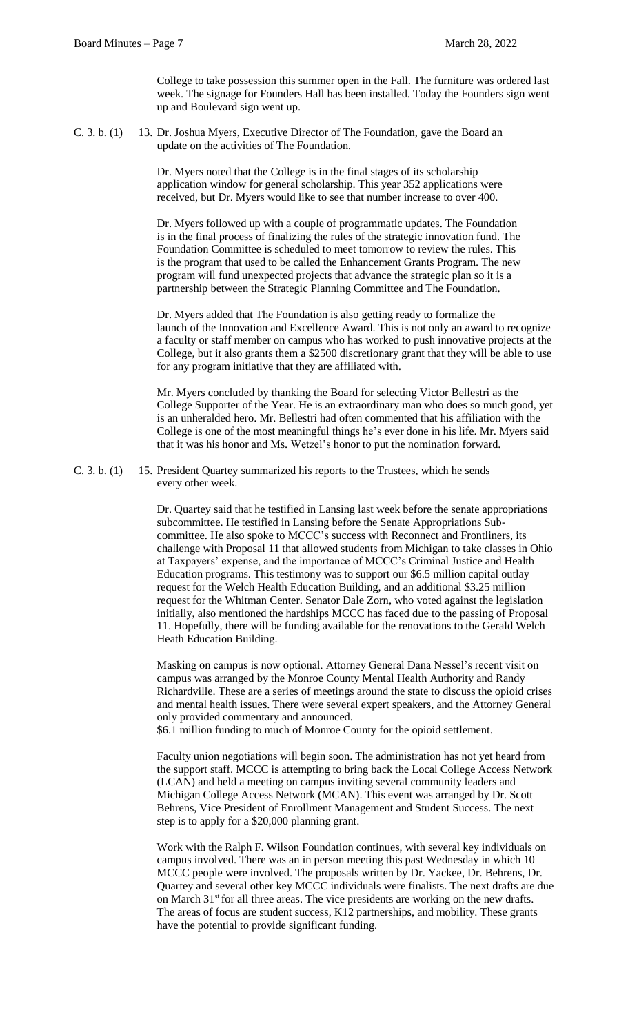College to take possession this summer open in the Fall. The furniture was ordered last week. The signage for Founders Hall has been installed. Today the Founders sign went up and Boulevard sign went up.

C. 3. b. (1) 13. Dr. Joshua Myers, Executive Director of The Foundation, gave the Board an update on the activities of The Foundation.

> Dr. Myers noted that the College is in the final stages of its scholarship application window for general scholarship. This year 352 applications were received, but Dr. Myers would like to see that number increase to over 400.

Dr. Myers followed up with a couple of programmatic updates. The Foundation is in the final process of finalizing the rules of the strategic innovation fund. The Foundation Committee is scheduled to meet tomorrow to review the rules. This is the program that used to be called the Enhancement Grants Program. The new program will fund unexpected projects that advance the strategic plan so it is a partnership between the Strategic Planning Committee and The Foundation.

Dr. Myers added that The Foundation is also getting ready to formalize the launch of the Innovation and Excellence Award. This is not only an award to recognize a faculty or staff member on campus who has worked to push innovative projects at the College, but it also grants them a \$2500 discretionary grant that they will be able to use for any program initiative that they are affiliated with.

Mr. Myers concluded by thanking the Board for selecting Victor Bellestri as the College Supporter of the Year. He is an extraordinary man who does so much good, yet is an unheralded hero. Mr. Bellestri had often commented that his affiliation with the College is one of the most meaningful things he's ever done in his life. Mr. Myers said that it was his honor and Ms. Wetzel's honor to put the nomination forward.

C. 3. b. (1) 15. President Quartey summarized his reports to the Trustees, which he sends every other week.

> Dr. Quartey said that he testified in Lansing last week before the senate appropriations subcommittee. He testified in Lansing before the Senate Appropriations Subcommittee. He also spoke to MCCC's success with Reconnect and Frontliners, its challenge with Proposal 11 that allowed students from Michigan to take classes in Ohio at Taxpayers' expense, and the importance of MCCC's Criminal Justice and Health Education programs. This testimony was to support our \$6.5 million capital outlay request for the Welch Health Education Building, and an additional \$3.25 million request for the Whitman Center. Senator Dale Zorn, who voted against the legislation initially, also mentioned the hardships MCCC has faced due to the passing of Proposal 11. Hopefully, there will be funding available for the renovations to the Gerald Welch Heath Education Building.

> Masking on campus is now optional. Attorney General Dana Nessel's recent visit on campus was arranged by the Monroe County Mental Health Authority and Randy Richardville. These are a series of meetings around the state to discuss the opioid crises and mental health issues. There were several expert speakers, and the Attorney General only provided commentary and announced.

\$6.1 million funding to much of Monroe County for the opioid settlement.

Faculty union negotiations will begin soon. The administration has not yet heard from the support staff. MCCC is attempting to bring back the Local College Access Network (LCAN) and held a meeting on campus inviting several community leaders and Michigan College Access Network (MCAN). This event was arranged by Dr. Scott Behrens, Vice President of Enrollment Management and Student Success. The next step is to apply for a \$20,000 planning grant.

Work with the Ralph F. Wilson Foundation continues, with several key individuals on campus involved. There was an in person meeting this past Wednesday in which 10 MCCC people were involved. The proposals written by Dr. Yackee, Dr. Behrens, Dr. Quartey and several other key MCCC individuals were finalists. The next drafts are due on March  $31<sup>st</sup>$  for all three areas. The vice presidents are working on the new drafts. The areas of focus are student success, K12 partnerships, and mobility. These grants have the potential to provide significant funding.